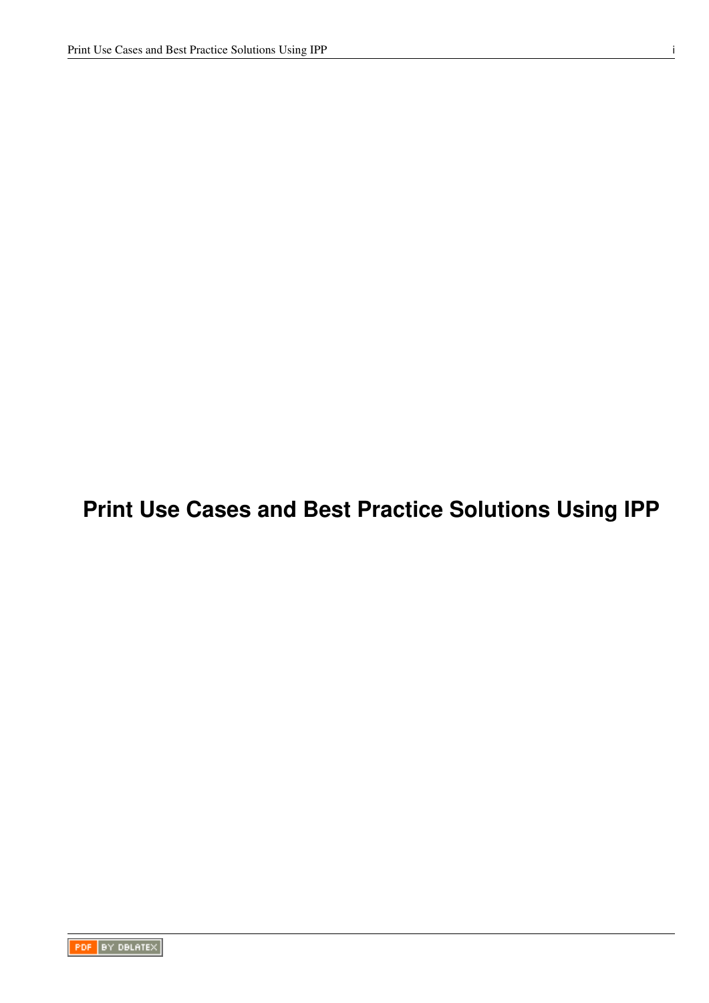# **Print Use Cases and Best Practice Solutions Using IPP**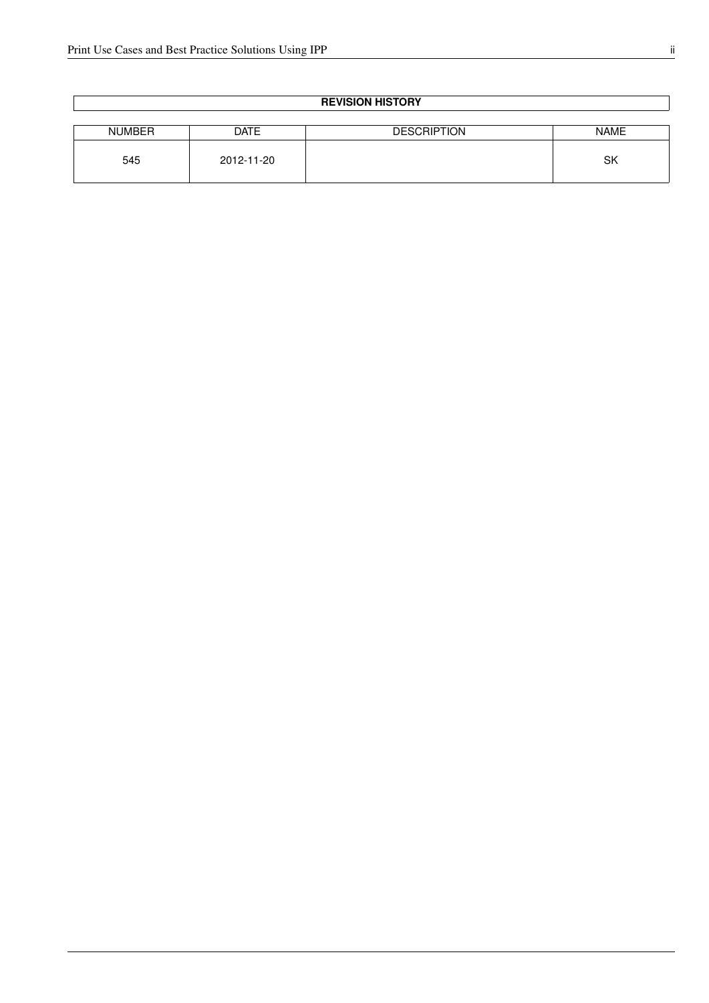| <b>REVISION HISTORY</b> |             |                    |             |  |  |
|-------------------------|-------------|--------------------|-------------|--|--|
|                         |             |                    |             |  |  |
| <b>NUMBER</b>           | <b>DATE</b> | <b>DESCRIPTION</b> | <b>NAME</b> |  |  |
| 545                     | 2012-11-20  |                    | <b>SK</b>   |  |  |

#### **REVISION HISTORY**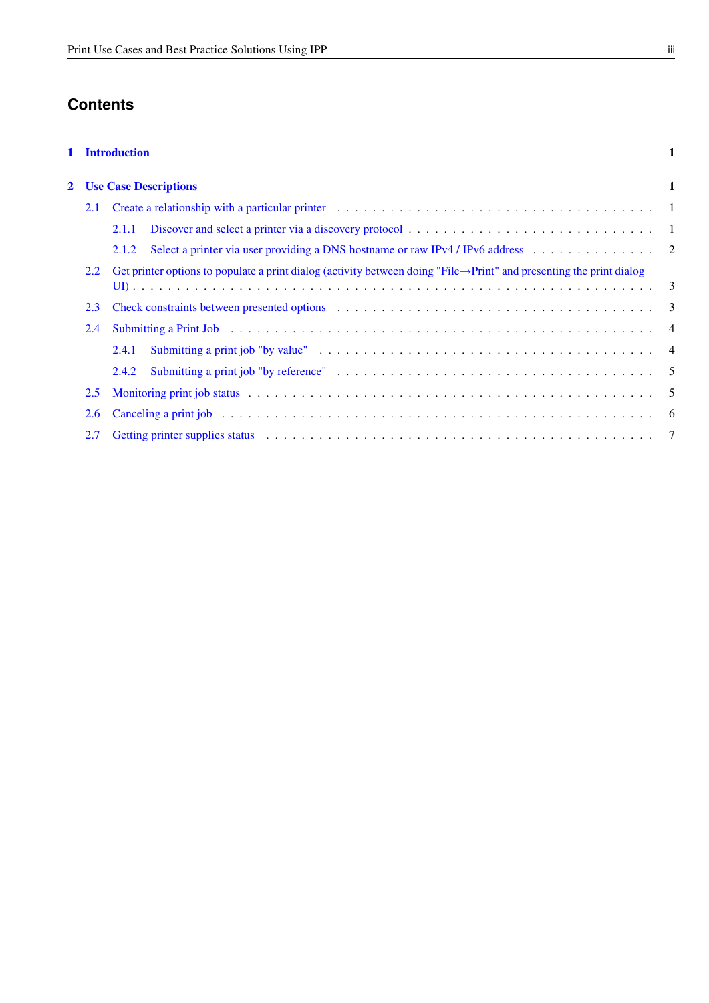# **Contents**

### [1 Introduction](#page-3-0) 1

| 2.1 |               | 2 Use Case Descriptions                                                                                                                                                                                                        |  |  |  |
|-----|---------------|--------------------------------------------------------------------------------------------------------------------------------------------------------------------------------------------------------------------------------|--|--|--|
|     |               |                                                                                                                                                                                                                                |  |  |  |
|     |               |                                                                                                                                                                                                                                |  |  |  |
|     |               | Select a printer via user providing a DNS hostname or raw IPv4 / IPv6 address 2<br>2.1.2                                                                                                                                       |  |  |  |
|     | 2.2           | Get printer options to populate a print dialog (activity between doing "File $\rightarrow$ Print" and presenting the print dialog                                                                                              |  |  |  |
|     |               |                                                                                                                                                                                                                                |  |  |  |
|     | 2.3           | Check constraints between presented options enters and service in the service of the service of the service of $3$                                                                                                             |  |  |  |
|     | 2.4           | Submitting a Print Job (all contact of the contact of the contact of the contact of the contact of the contact of the contact of the contact of the contact of the contact of the contact of the contact of the contact of the |  |  |  |
|     |               | 2.4.1                                                                                                                                                                                                                          |  |  |  |
|     |               | 2.4.2                                                                                                                                                                                                                          |  |  |  |
|     | $2.5^{\circ}$ |                                                                                                                                                                                                                                |  |  |  |
|     | 2.6           |                                                                                                                                                                                                                                |  |  |  |
|     | 2.7           |                                                                                                                                                                                                                                |  |  |  |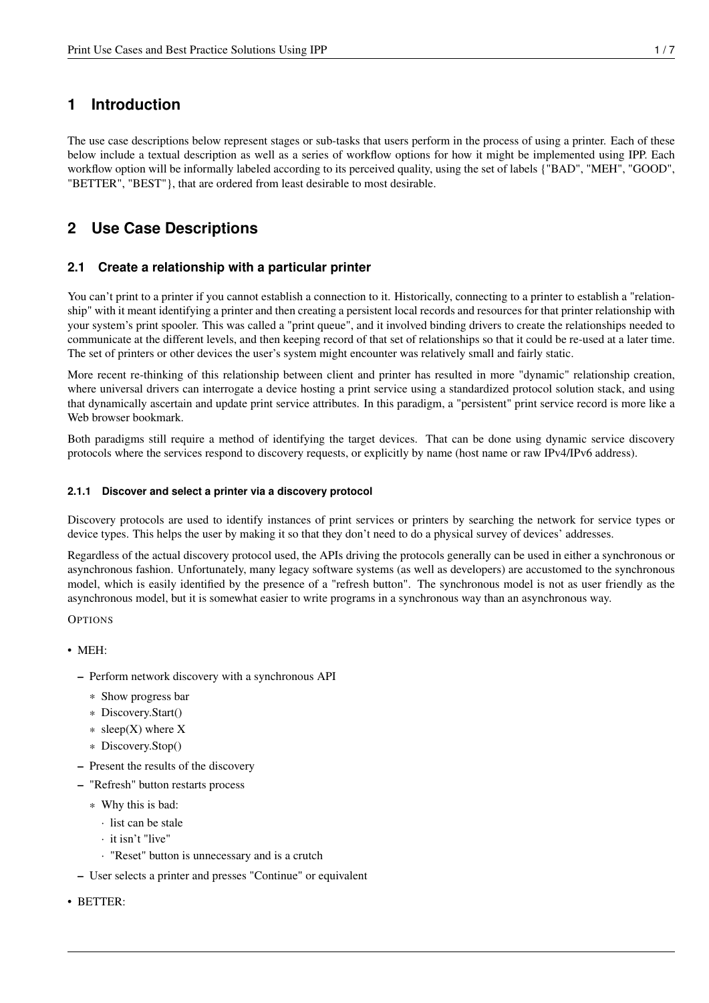## <span id="page-3-0"></span>**1 Introduction**

The use case descriptions below represent stages or sub-tasks that users perform in the process of using a printer. Each of these below include a textual description as well as a series of workflow options for how it might be implemented using IPP. Each workflow option will be informally labeled according to its perceived quality, using the set of labels {"BAD", "MEH", "GOOD", "BETTER", "BEST"}, that are ordered from least desirable to most desirable.

## <span id="page-3-1"></span>**2 Use Case Descriptions**

## <span id="page-3-2"></span>**2.1 Create a relationship with a particular printer**

You can't print to a printer if you cannot establish a connection to it. Historically, connecting to a printer to establish a "relationship" with it meant identifying a printer and then creating a persistent local records and resources for that printer relationship with your system's print spooler. This was called a "print queue", and it involved binding drivers to create the relationships needed to communicate at the different levels, and then keeping record of that set of relationships so that it could be re-used at a later time. The set of printers or other devices the user's system might encounter was relatively small and fairly static.

More recent re-thinking of this relationship between client and printer has resulted in more "dynamic" relationship creation, where universal drivers can interrogate a device hosting a print service using a standardized protocol solution stack, and using that dynamically ascertain and update print service attributes. In this paradigm, a "persistent" print service record is more like a Web browser bookmark.

Both paradigms still require a method of identifying the target devices. That can be done using dynamic service discovery protocols where the services respond to discovery requests, or explicitly by name (host name or raw IPv4/IPv6 address).

#### <span id="page-3-3"></span>**2.1.1 Discover and select a printer via a discovery protocol**

Discovery protocols are used to identify instances of print services or printers by searching the network for service types or device types. This helps the user by making it so that they don't need to do a physical survey of devices' addresses.

Regardless of the actual discovery protocol used, the APIs driving the protocols generally can be used in either a synchronous or asynchronous fashion. Unfortunately, many legacy software systems (as well as developers) are accustomed to the synchronous model, which is easily identified by the presence of a "refresh button". The synchronous model is not as user friendly as the asynchronous model, but it is somewhat easier to write programs in a synchronous way than an asynchronous way.

**OPTIONS** 

- MEH:
	- Perform network discovery with a synchronous API
		- \* Show progress bar
		- \* Discovery.Start()
		- $*$  sleep(X) where X
		- \* Discovery.Stop()
	- Present the results of the discovery
	- "Refresh" button restarts process
		- \* Why this is bad:
			- · list can be stale
			- · it isn't "live"
			- · "Reset" button is unnecessary and is a crutch
	- User selects a printer and presses "Continue" or equivalent
- BETTER: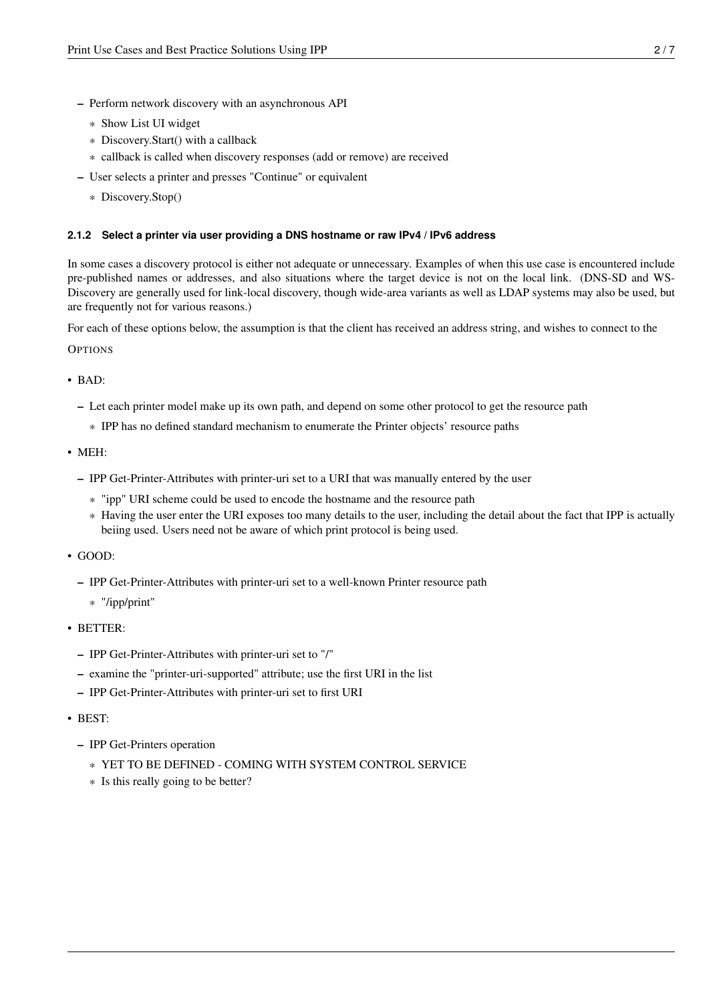- Perform network discovery with an asynchronous API
	- \* Show List UI widget
	- \* Discovery.Start() with a callback
	- \* callback is called when discovery responses (add or remove) are received
- User selects a printer and presses "Continue" or equivalent
	- \* Discovery.Stop()

#### <span id="page-4-0"></span>**2.1.2 Select a printer via user providing a DNS hostname or raw IPv4 / IPv6 address**

In some cases a discovery protocol is either not adequate or unnecessary. Examples of when this use case is encountered include pre-published names or addresses, and also situations where the target device is not on the local link. (DNS-SD and WS-Discovery are generally used for link-local discovery, though wide-area variants as well as LDAP systems may also be used, but are frequently not for various reasons.)

For each of these options below, the assumption is that the client has received an address string, and wishes to connect to the

**OPTIONS** 

- BAD:
	- Let each printer model make up its own path, and depend on some other protocol to get the resource path
		- \* IPP has no defined standard mechanism to enumerate the Printer objects' resource paths
- MEH:
	- IPP Get-Printer-Attributes with printer-uri set to a URI that was manually entered by the user
		- \* "ipp" URI scheme could be used to encode the hostname and the resource path
		- \* Having the user enter the URI exposes too many details to the user, including the detail about the fact that IPP is actually beiing used. Users need not be aware of which print protocol is being used.
- GOOD:
	- IPP Get-Printer-Attributes with printer-uri set to a well-known Printer resource path
		- \* "/ipp/print"
- BETTER:
	- IPP Get-Printer-Attributes with printer-uri set to "/"
	- examine the "printer-uri-supported" attribute; use the first URI in the list
	- IPP Get-Printer-Attributes with printer-uri set to first URI
- BEST:
	- IPP Get-Printers operation
		- \* YET TO BE DEFINED COMING WITH SYSTEM CONTROL SERVICE
		- \* Is this really going to be better?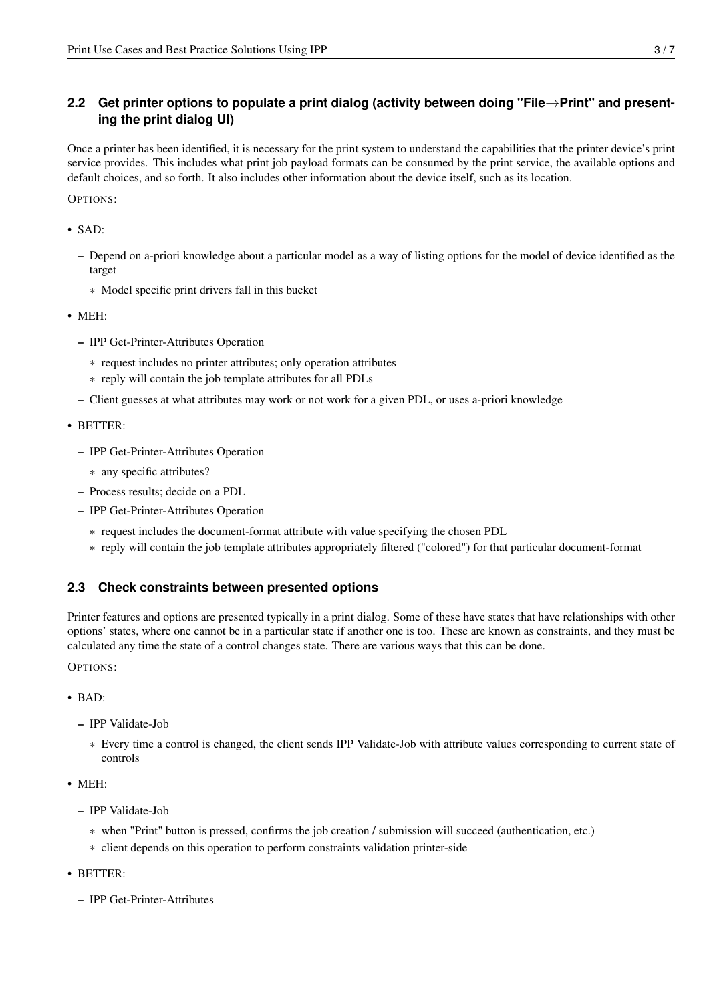## <span id="page-5-0"></span>**2.2 Get printer options to populate a print dialog (activity between doing "File**→**Print" and presenting the print dialog UI)**

Once a printer has been identified, it is necessary for the print system to understand the capabilities that the printer device's print service provides. This includes what print job payload formats can be consumed by the print service, the available options and default choices, and so forth. It also includes other information about the device itself, such as its location.

OPTIONS:

• SAD:

- Depend on a-priori knowledge about a particular model as a way of listing options for the model of device identified as the target
	- \* Model specific print drivers fall in this bucket
- MEH:
	- IPP Get-Printer-Attributes Operation
		- \* request includes no printer attributes; only operation attributes
		- \* reply will contain the job template attributes for all PDLs
	- Client guesses at what attributes may work or not work for a given PDL, or uses a-priori knowledge
- BETTER:
	- IPP Get-Printer-Attributes Operation
		- \* any specific attributes?
	- Process results; decide on a PDL
	- IPP Get-Printer-Attributes Operation
		- \* request includes the document-format attribute with value specifying the chosen PDL
		- \* reply will contain the job template attributes appropriately filtered ("colored") for that particular document-format

## <span id="page-5-1"></span>**2.3 Check constraints between presented options**

Printer features and options are presented typically in a print dialog. Some of these have states that have relationships with other options' states, where one cannot be in a particular state if another one is too. These are known as constraints, and they must be calculated any time the state of a control changes state. There are various ways that this can be done.

OPTIONS:

- BAD:
	- IPP Validate-Job
		- \* Every time a control is changed, the client sends IPP Validate-Job with attribute values corresponding to current state of controls
- MEH:
	- IPP Validate-Job
		- \* when "Print" button is pressed, confirms the job creation / submission will succeed (authentication, etc.)
		- \* client depends on this operation to perform constraints validation printer-side
- BETTER:
	- IPP Get-Printer-Attributes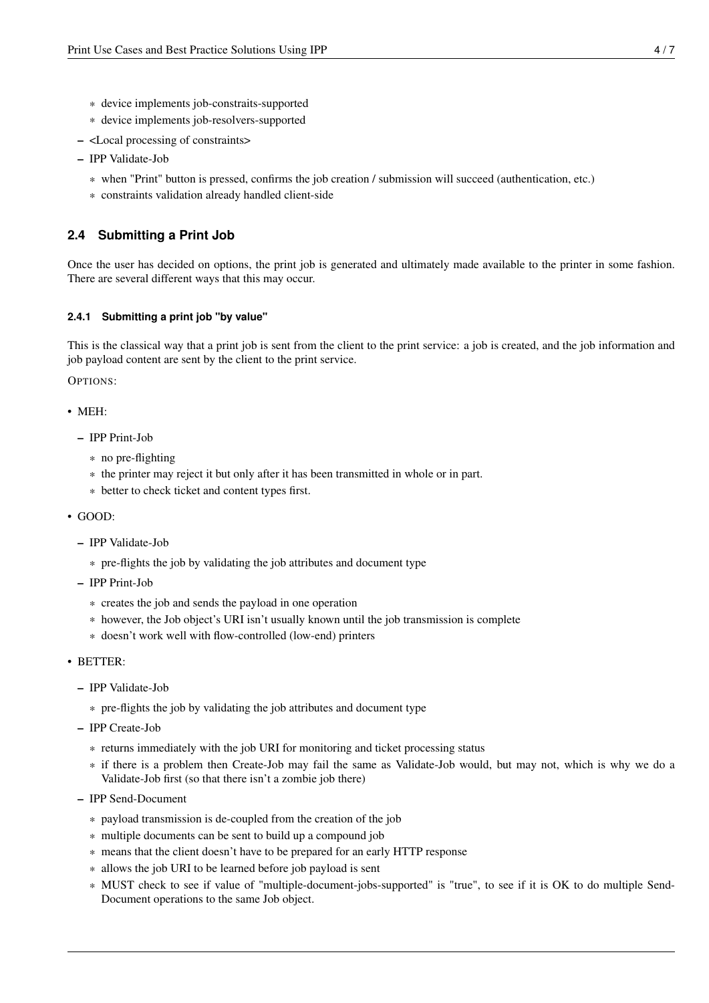- \* device implements job-constraits-supported
- \* device implements job-resolvers-supported
- <Local processing of constraints>
- IPP Validate-Job
	- \* when "Print" button is pressed, confirms the job creation / submission will succeed (authentication, etc.)
	- \* constraints validation already handled client-side

#### <span id="page-6-0"></span>**2.4 Submitting a Print Job**

Once the user has decided on options, the print job is generated and ultimately made available to the printer in some fashion. There are several different ways that this may occur.

#### <span id="page-6-1"></span>**2.4.1 Submitting a print job "by value"**

This is the classical way that a print job is sent from the client to the print service: a job is created, and the job information and job payload content are sent by the client to the print service.

OPTIONS:

• MEH:

- IPP Print-Job
	- \* no pre-flighting
	- \* the printer may reject it but only after it has been transmitted in whole or in part.
	- \* better to check ticket and content types first.
- GOOD:
	- IPP Validate-Job
		- \* pre-flights the job by validating the job attributes and document type
	- IPP Print-Job
		- \* creates the job and sends the payload in one operation
		- \* however, the Job object's URI isn't usually known until the job transmission is complete
		- \* doesn't work well with flow-controlled (low-end) printers
- BETTER:
	- IPP Validate-Job
		- \* pre-flights the job by validating the job attributes and document type
	- IPP Create-Job
		- \* returns immediately with the job URI for monitoring and ticket processing status
		- \* if there is a problem then Create-Job may fail the same as Validate-Job would, but may not, which is why we do a Validate-Job first (so that there isn't a zombie job there)
	- IPP Send-Document
		- \* payload transmission is de-coupled from the creation of the job
		- \* multiple documents can be sent to build up a compound job
		- \* means that the client doesn't have to be prepared for an early HTTP response
		- \* allows the job URI to be learned before job payload is sent
		- \* MUST check to see if value of "multiple-document-jobs-supported" is "true", to see if it is OK to do multiple Send-Document operations to the same Job object.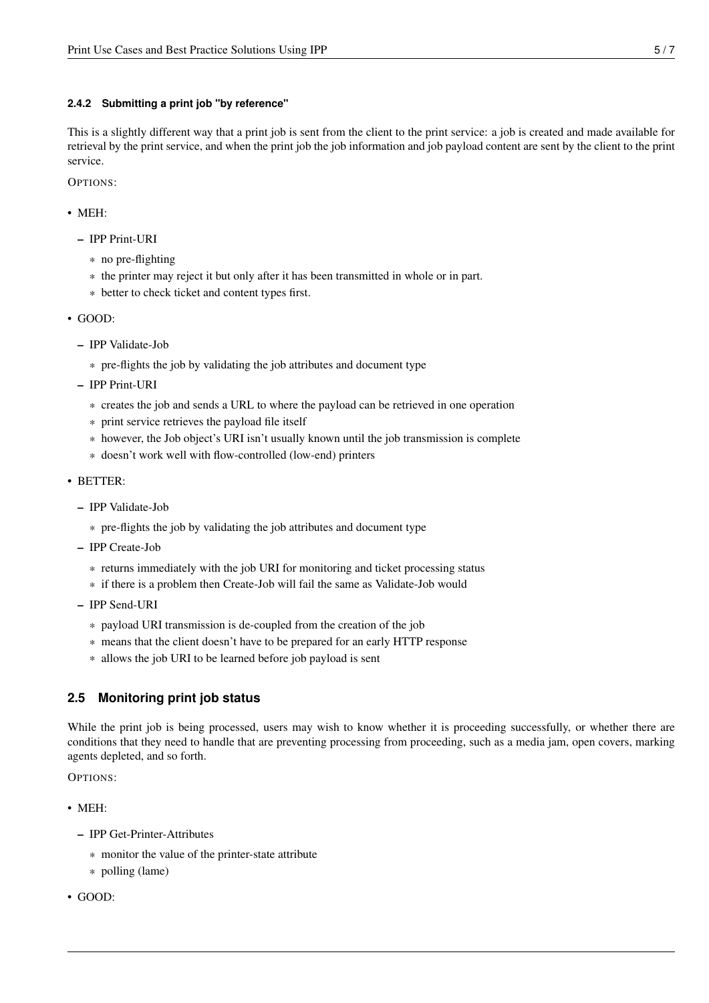#### <span id="page-7-0"></span>**2.4.2 Submitting a print job "by reference"**

This is a slightly different way that a print job is sent from the client to the print service: a job is created and made available for retrieval by the print service, and when the print job the job information and job payload content are sent by the client to the print service.

OPTIONS:

- MEH:
	- IPP Print-URI
		- \* no pre-flighting
		- \* the printer may reject it but only after it has been transmitted in whole or in part.
		- \* better to check ticket and content types first.
- GOOD:
	- IPP Validate-Job
		- \* pre-flights the job by validating the job attributes and document type
	- IPP Print-URI
		- \* creates the job and sends a URL to where the payload can be retrieved in one operation
		- \* print service retrieves the payload file itself
		- \* however, the Job object's URI isn't usually known until the job transmission is complete
		- \* doesn't work well with flow-controlled (low-end) printers
- BETTER:
	- IPP Validate-Job
		- \* pre-flights the job by validating the job attributes and document type
	- IPP Create-Job
		- \* returns immediately with the job URI for monitoring and ticket processing status
		- \* if there is a problem then Create-Job will fail the same as Validate-Job would
	- IPP Send-URI
		- \* payload URI transmission is de-coupled from the creation of the job
		- \* means that the client doesn't have to be prepared for an early HTTP response
		- \* allows the job URI to be learned before job payload is sent

## <span id="page-7-1"></span>**2.5 Monitoring print job status**

While the print job is being processed, users may wish to know whether it is proceeding successfully, or whether there are conditions that they need to handle that are preventing processing from proceeding, such as a media jam, open covers, marking agents depleted, and so forth.

OPTIONS:

- MEH:
	- IPP Get-Printer-Attributes
		- \* monitor the value of the printer-state attribute
		- \* polling (lame)
- GOOD: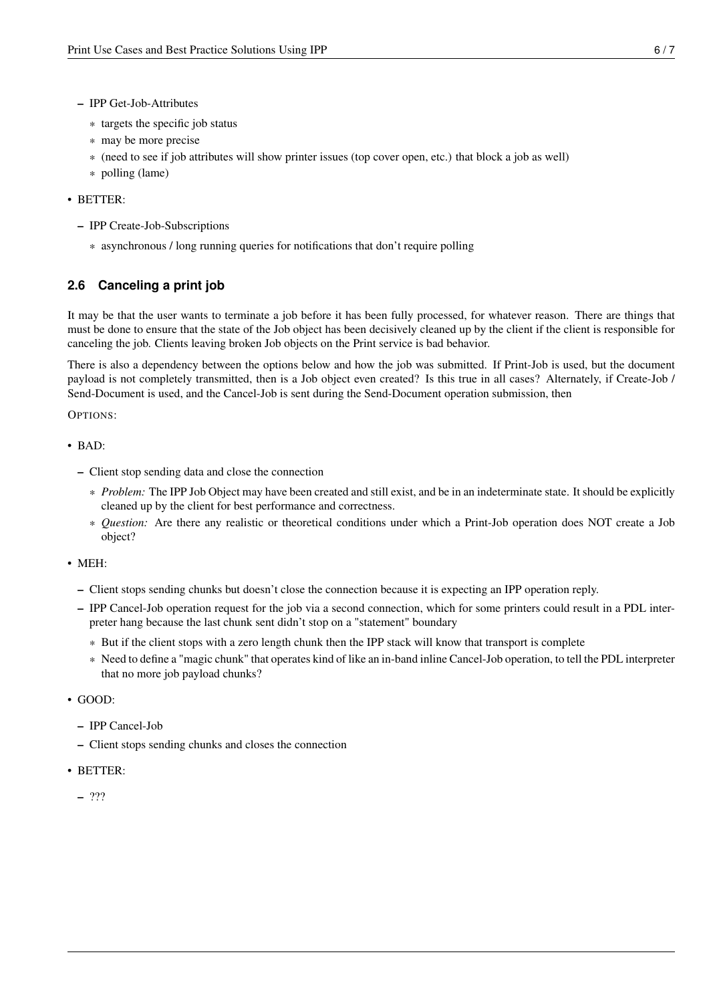- IPP Get-Job-Attributes
	- \* targets the specific job status
	- \* may be more precise
	- \* (need to see if job attributes will show printer issues (top cover open, etc.) that block a job as well)
	- \* polling (lame)

#### • BETTER:

- IPP Create-Job-Subscriptions
	- \* asynchronous / long running queries for notifications that don't require polling

## <span id="page-8-0"></span>**2.6 Canceling a print job**

It may be that the user wants to terminate a job before it has been fully processed, for whatever reason. There are things that must be done to ensure that the state of the Job object has been decisively cleaned up by the client if the client is responsible for canceling the job. Clients leaving broken Job objects on the Print service is bad behavior.

There is also a dependency between the options below and how the job was submitted. If Print-Job is used, but the document payload is not completely transmitted, then is a Job object even created? Is this true in all cases? Alternately, if Create-Job / Send-Document is used, and the Cancel-Job is sent during the Send-Document operation submission, then

OPTIONS:

- BAD:
	- Client stop sending data and close the connection
		- \* *Problem:* The IPP Job Object may have been created and still exist, and be in an indeterminate state. It should be explicitly cleaned up by the client for best performance and correctness.
		- \* *Question:* Are there any realistic or theoretical conditions under which a Print-Job operation does NOT create a Job object?
- MEH:
	- Client stops sending chunks but doesn't close the connection because it is expecting an IPP operation reply.
	- IPP Cancel-Job operation request for the job via a second connection, which for some printers could result in a PDL interpreter hang because the last chunk sent didn't stop on a "statement" boundary
		- \* But if the client stops with a zero length chunk then the IPP stack will know that transport is complete
		- \* Need to define a "magic chunk" that operates kind of like an in-band inline Cancel-Job operation, to tell the PDL interpreter that no more job payload chunks?
- GOOD:
	- IPP Cancel-Job
	- Client stops sending chunks and closes the connection
- BETTER:
	- ???